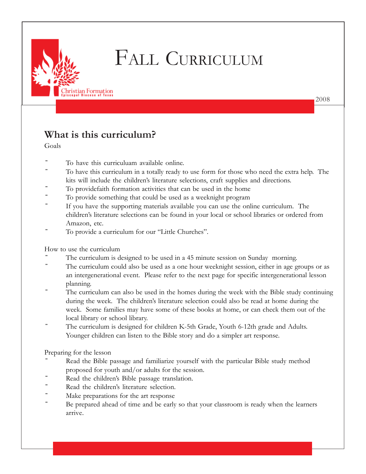

# FALL CURRICULUM

2008

#### **What is this curriculum?**

Goals

- To have this curriculuam available online.
- To have this curriculum in a totally ready to use form for those who need the extra help. The kits will include the children's literature selections, craft supplies and directions.
- To providefaith formation activities that can be used in the home
- To provide something that could be used as a weeknight program
- If you have the supporting materials available you can use the online curriculum. The children's literature selections can be found in your local or school libraries or ordered from Amazon, etc.
- To provide a curriculum for our "Little Churches".

How to use the curriculum

- The curriculum is designed to be used in a 45 minute session on Sunday morning.
- The curriculum could also be used as a one hour weeknight session, either in age groups or as an intergenerational event. Please refer to the next page for specific intergenerational lesson planning.
- The curriculum can also be used in the homes during the week with the Bible study continuing during the week. The children's literature selection could also be read at home during the week. Some families may have some of these books at home, or can check them out of the local library or school library.
- The curriculum is designed for children K-5th Grade, Youth 6-12th grade and Adults. Younger children can listen to the Bible story and do a simpler art response.

Preparing for the lesson

- Read the Bible passage and familiarize yourself with the particular Bible study method proposed for youth and/or adults for the session.
- Read the children's Bible passage translation.
- Read the children's literature selection.
- Make preparations for the art response
- Be prepared ahead of time and be early so that your classroom is ready when the learners arrive.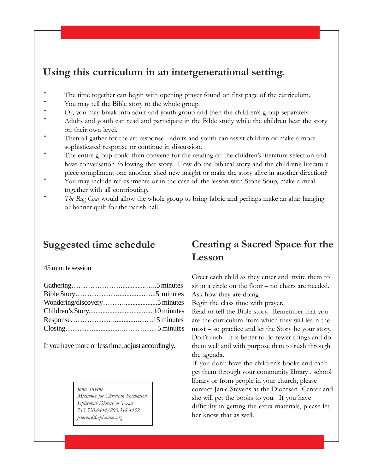#### **Using this curriculum in an intergenerational setting.**

- ¨ The time together can begin with opening prayer found on first page of the curriculum.
- ¨ You may tell the Bible story to the whole group.
- Or, you may break into adult and youth group and then the children's group separately.
- Adults and youth can read and participate in the Bible study while the children hear the story on their own level.
- Then all gather for the art response adults and youth can assist children or make a more sophisticated response or continue in discussion.
- The entire group could then convene for the reading of the children's literature selection and have conversation following that story. How do the biblical story and the children's literature piece compliment one another, shed new insight or make the story alive in another direction?
- You may include refreshments or in the case of the lesson with Stone Soup, make a meal together with all contributing.
- The Rag Coat would allow the whole group to bring fabric and perhaps make an altar hanging or banner quilt for the parish hall.

#### **Suggested time schedule**

#### 45 minute session

If you have more or less time, adjust accordingly.

*Janie Stevens Missioner for Christian Formation Episcopal Diocese of Texas 713.520.6444/800.318.4452 jstevens@epicenter.org*

#### **Creating a Sacred Space for the Lesson**

Greet each child as they enter and invite them to sit in a circle on the floor – no chairs are needed. Ask how they are doing.

Begin the class time with prayer.

Read or tell the Bible story. Remember that you are the curriculum from which they will learn the most – so practice and let the Story be your story. Don't rush. It is better to do fewer things and do them well and with purpose than to rush through the agenda.

If you don't have the children's books and can't get them through your community library , school library or from people in your church, please contact Janie Stevens at the Diocesan Center and she will get the books to you. If you have difficulty in getting the extra materials, please let her know that as well.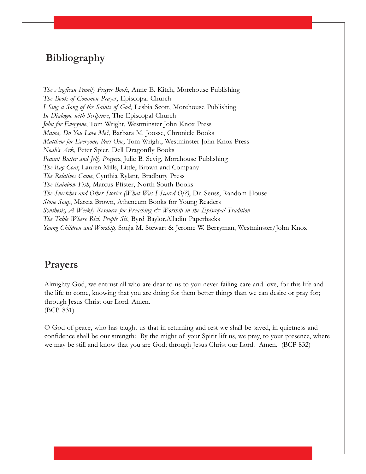#### **Bibliography**

*The Anglican Family Prayer Book*, Anne E. Kitch, Morehouse Publishing *The Book of Common Prayer*, Episcopal Church *I Sing a Song of the Saints of God*, Lesbia Scott, Morehouse Publishing *In Dialogue with Scripture*, The Episcopal Church *John for Everyone*, Tom Wright, Westminster John Knox Press *Mama, Do You Love Me?*, Barbara M. Joosse, Chronicle Books *Matthew for Everyone, Part One*; Tom Wright, Westminster John Knox Press *Noah's Ark*, Peter Spier, Dell Dragonfly Books *Peanut Butter and Jelly Prayers*, Julie B. Sevig, Morehouse Publishing *The Rag Coat*, Lauren Mills, Little, Brown and Company *The Relatives Came*, Cynthia Rylant, Bradbury Press *The Rainbow Fish*, Marcus Pfister, North-South Books *The Sneetches and Other Stories (What Was I Scared Of?)*, Dr. Seuss, Random House *Stone Soup*, Marcia Brown, Atheneum Books for Young Readers *Synthesis, A Weekly Resource for Preaching & Worship in the Episcopal Tradition The Table Where Rich People Sit*, Byrd Baylor,Alladin Paperbacks *Young Children and Worship,* Sonja M. Stewart & Jerome W. Berryman, Westminster/John Knox

#### **Prayers**

Almighty God, we entrust all who are dear to us to you never-failing care and love, for this life and the life to come, knowing that you are doing for them better things than we can desire or pray for; through Jesus Christ our Lord. Amen. (BCP 831)

O God of peace, who has taught us that in returning and rest we shall be saved, in quietness and confidence shall be our strength: By the might of your Spirit lift us, we pray, to your presence, where we may be still and know that you are God; through Jesus Christ our Lord. Amen. (BCP 832)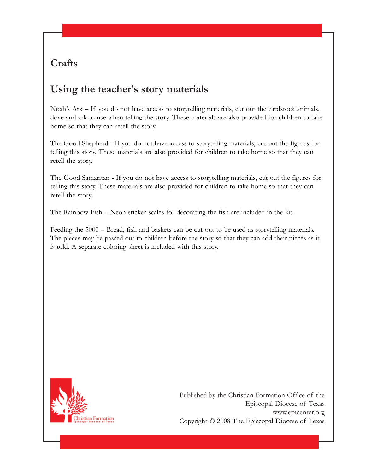#### **Crafts**

#### **Using the teacher's story materials**

Noah's Ark – If you do not have access to storytelling materials, cut out the cardstock animals, dove and ark to use when telling the story. These materials are also provided for children to take home so that they can retell the story.

The Good Shepherd - If you do not have access to storytelling materials, cut out the figures for telling this story. These materials are also provided for children to take home so that they can retell the story.

The Good Samaritan - If you do not have access to storytelling materials, cut out the figures for telling this story. These materials are also provided for children to take home so that they can retell the story.

The Rainbow Fish – Neon sticker scales for decorating the fish are included in the kit.

Feeding the 5000 – Bread, fish and baskets can be cut out to be used as storytelling materials. The pieces may be passed out to children before the story so that they can add their pieces as it is told. A separate coloring sheet is included with this story.

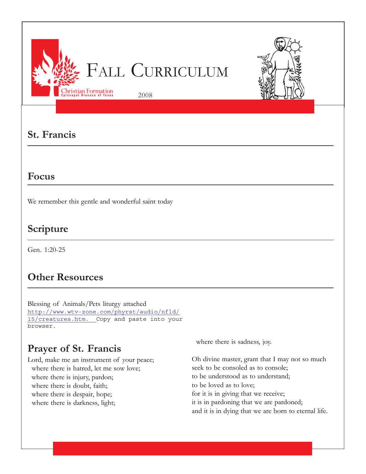

#### **St. Francis**

#### **Focus**

We remember this gentle and wonderful saint today

#### **Scripture**

Gen. 1:20-25

#### **Other Resources**

Blessing of Animals/Pets liturgy attached http://www.wtv-zone.com/phyrst/audio/nfld/ 15/creatures.htm. Copy and paste into your browser.

#### **Prayer of St. Francis**

Lord, make me an instrument of your peace; where there is hatred, let me sow love; where there is injury, pardon; where there is doubt, faith; where there is despair, hope; where there is darkness, light;

where there is sadness, joy.

Oh divine master, grant that I may not so much seek to be consoled as to console; to be understood as to understand; to be loved as to love; for it is in giving that we receive; it is in pardoning that we are pardoned; and it is in dying that we are born to eternal life.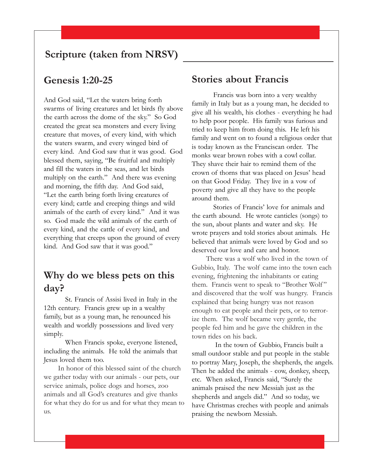#### **Scripture (taken from NRSV)**

#### **Genesis 1:20-25**

And God said, "Let the waters bring forth swarms of living creatures and let birds fly above the earth across the dome of the sky." So God created the great sea monsters and every living creature that moves, of every kind, with which the waters swarm, and every winged bird of every kind. And God saw that it was good. God blessed them, saying, "Be fruitful and multiply and fill the waters in the seas, and let birds multiply on the earth." And there was evening and morning, the fifth day. And God said, "Let the earth bring forth living creatures of every kind; cattle and creeping things and wild animals of the earth of every kind." And it was so. God made the wild animals of the earth of every kind, and the cattle of every kind, and everything that creeps upon the ground of every kind. And God saw that it was good."

#### **Why do we bless pets on this day?**

St. Francis of Assisi lived in Italy in the 12th century. Francis grew up in a wealthy family, but as a young man, he renounced his wealth and worldly possessions and lived very simply.

When Francis spoke, everyone listened, including the animals. He told the animals that Jesus loved them too.

In honor of this blessed saint of the church we gather today with our animals - our pets, our service animals, police dogs and horses, zoo animals and all God's creatures and give thanks for what they do for us and for what they mean to us.

#### **Stories about Francis**

Francis was born into a very wealthy family in Italy but as a young man, he decided to give all his wealth, his clothes - everything he had to help poor people. His family was furious and tried to keep him from doing this. He left his family and went on to found a religious order that is today known as the Franciscan order. The monks wear brown robes with a cowl collar. They shave their hair to remind them of the crown of thorns that was placed on Jesus' head on that Good Friday. They live in a vow of poverty and give all they have to the people around them.

Stories of Francis' love for animals and the earth abound. He wrote canticles (songs) to the sun, about plants and water and sky. He wrote prayers and told stories about animals. He believed that animals were loved by God and so deserved our love and care and honor.

There was a wolf who lived in the town of Gubbio, Italy. The wolf came into the town each evening, frightening the inhabitants or eating them. Francis went to speak to "Brother Wolf" and discovered that the wolf was hungry. Francis explained that being hungry was not reason enough to eat people and their pets, or to terrorize them. The wolf became very gentle, the people fed him and he gave the children in the town rides on his back.

 In the town of Gubbio, Francis built a small outdoor stable and put people in the stable to portray Mary, Joseph, the shepherds, the angels. Then he added the animals - cow, donkey, sheep, etc. When asked, Francis said, "Surely the animals praised the new Messiah just as the shepherds and angels did." And so today, we have Christmas creches with people and animals praising the newborn Messiah.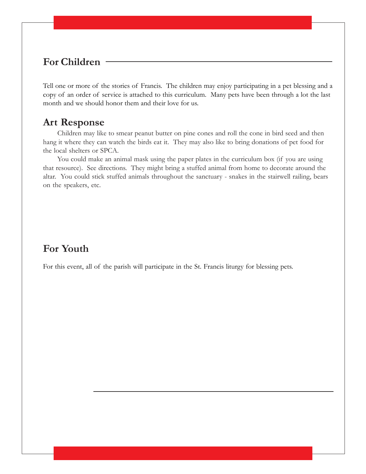#### **For Children**

Tell one or more of the stories of Francis. The children may enjoy participating in a pet blessing and a copy of an order of service is attached to this curriculum. Many pets have been through a lot the last month and we should honor them and their love for us.

#### **Art Response**

Children may like to smear peanut butter on pine cones and roll the cone in bird seed and then hang it where they can watch the birds eat it. They may also like to bring donations of pet food for the local shelters or SPCA.

You could make an animal mask using the paper plates in the curriculum box (if you are using that resource). See directions. They might bring a stuffed animal from home to decorate around the altar. You could stick stuffed animals throughout the sanctuary - snakes in the stairwell railing, bears on the speakers, etc.

#### **For Youth**

For this event, all of the parish will participate in the St. Francis liturgy for blessing pets.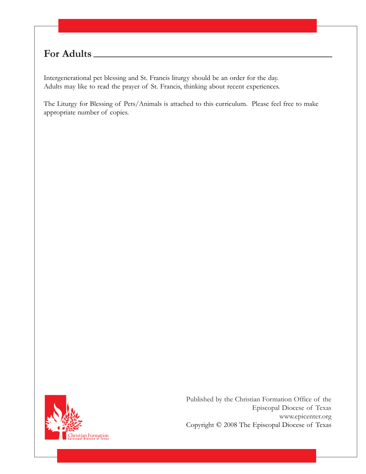#### **For Adults**

Intergenerational pet blessing and St. Francis liturgy should be an order for the day. Adults may like to read the prayer of St. Francis, thinking about recent experiences.

The Liturgy for Blessing of Pets/Animals is attached to this curriculum. Please feel free to make appropriate number of copies.

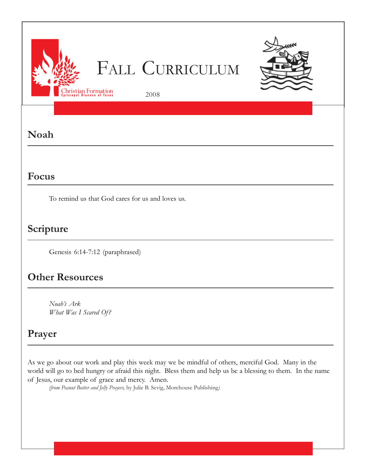

# FALL CURRICULUM



2008

# **Noah**

#### **Focus**

To remind us that God cares for us and loves us.

# **Scripture**

Genesis 6:14-7:12 (paraphrased)

# **Other Resources**

*Noah's Ark What Was I Scared Of?*

#### **Prayer**

As we go about our work and play this week may we be mindful of others, merciful God. Many in the world will go to bed hungry or afraid this night. Bless them and help us be a blessing to them. In the name of Jesus, our example of grace and mercy. Amen.

*(from Peanut Butter and Jelly Prayers,* by Julie B. Sevig, Morehouse Publishing*)*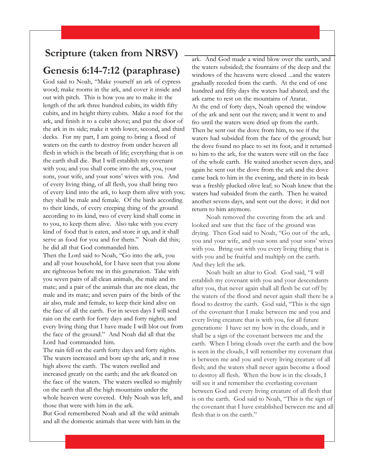#### **Scripture (taken from NRSV)**

#### **Genesis 6:14-7:12 (paraphrase)**

God said to Noah, "Make yourself an ark of cypress wood; make rooms in the ark, and cover it inside and out with pitch. This is how you are to make it: the length of the ark three hundred cubits, its width fifty cubits, and its height thirty cubits. Make a roof for the ark, and finish it to a cubit above; and put the door of the ark in its side; make it with lower, second, and third decks. For my part, I am going to bring a flood of waters on the earth to destroy from under heaven all flesh in which is the breath of life; everything that is on the earth shall die. But I will establish my covenant with you; and you shall come into the ark, you, your sons, your wife, and your sons' wives with you. And of every living thing, of all flesh, you shall bring two of every kind into the ark, to keep them alive with you; they shall be male and female. Of the birds according to their kinds, of every creeping thing of the ground according to its kind, two of every kind shall come in to you, to keep them alive. Also take with you every kind of food that is eaten, and store it up, and it shall serve as food for you and for them." Noah did this; he did all that God commanded him.

Then the Lord said to Noah, "Go into the ark, you and all your household, for I have seen that you alone are righteous before me in this generation. Take with you seven pairs of all clean animals, the male and its mate; and a pair of the animals that are not clean, the male and its mate; and seven pairs of the birds of the air also, male and female, to keep their kind alive on the face of all the earth. For in seven days I will send rain on the earth for forty days and forty nights; and every living thing that I have made I will blot out from the face of the ground." And Noah did all that the Lord had commanded him.

The rain fell on the earth forty days and forty nights. The waters increased and bore up the ark, and it rose high above the earth. The waters swelled and increased greatly on the earth; and the ark floated on the face of the waters. The waters swelled so mightily on the earth that all the high mountains under the whole heaven were covered. Only Noah was left, and those that were with him in the ark.

But God remembered Noah and all the wild animals and all the domestic animals that were with him in the

ark. And God made a wind blow over the earth, and the waters subsided; the fountains of the deep and the windows of the heavens were closed ...and the waters gradually receded from the earth. At the end of one hundred and fifty days the waters had abated; and the ark came to rest on the mountains of Ararat. At the end of forty days, Noah opened the window of the ark and sent out the raven; and it went to and fro until the waters were dried up from the earth. Then he sent out the dove from him, to see if the waters had subsided from the face of the ground; but the dove found no place to set its foot, and it returned to him to the ark, for the waters were still on the face of the whole earth. He waited another seven days, and again he sent out the dove from the ark and the dove came back to him in the evening, and there in its beak was a freshly plucked olive leaf; so Noah knew that the waters had subsided from the earth. Then he waited another sevens days, and sent out the dove; it did not return to him anymore.

Noah removed the covering from the ark and looked and saw that the face of the ground was drying. Then God said to Noah, "Go out of the ark, you and your wife, and your sons and your sons' wives with you. Bring out with you every living thing that is with you and be fruitful and multiply on the earth. And they left the ark.

Noah built an altar to God. God said, "I will establish my covenant with you and your descendants after you, that never again shall all flesh be cut off by the waters of the flood and never again shall there be a flood to destroy the earth. God said, "This is the sign of the covenant that I make between me and you and every living creature that is with you, for all future generations: I have set my bow in the clouds, and it shall be a sign of the covenant between me and the earth. When I bring clouds over the earth and the bow is seen in the clouds, I will remember my covenant that is between me and you and every living creature of all flesh; and the waters shall never again become a flood to destroy all flesh. When the bow is in the clouds, I will see it and remember the everlasting covenant between God and every living creature of all flesh that is on the earth. God said to Noah, "This is the sign of the covenant that I have established between me and all flesh that is on the earth."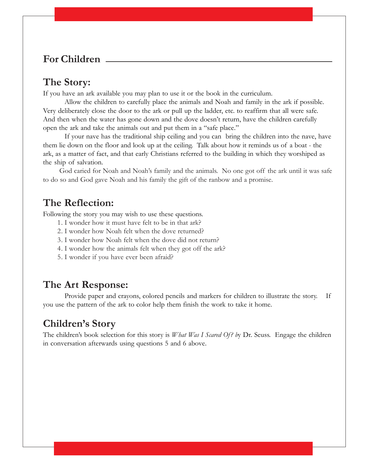#### **For Children**

#### **The Story:**

If you have an ark available you may plan to use it or the book in the curriculum.

Allow the children to carefully place the animals and Noah and family in the ark if possible. Very deliberately close the door to the ark or pull up the ladder, etc. to reaffirm that all were safe. And then when the water has gone down and the dove doesn't return, have the children carefully open the ark and take the animals out and put them in a "safe place."

If your nave has the traditional ship ceiling and you can bring the children into the nave, have them lie down on the floor and look up at the ceiling. Talk about how it reminds us of a boat - the ark, as a matter of fact, and that early Christians referred to the building in which they worshiped as the ship of salvation.

 God caried for Noah and Noah's family and the animals. No one got off the ark until it was safe to do so and God gave Noah and his family the gift of the ranbow and a promise.

#### **The Reflection:**

Following the story you may wish to use these questions.

- 1. I wonder how it must have felt to be in that ark?
- 2. I wonder how Noah felt when the dove returned?
- 3. I wonder how Noah felt when the dove did not return?
- 4. I wonder how the animals felt when they got off the ark?
- 5. I wonder if you have ever been afraid?

#### **The Art Response:**

Provide paper and crayons, colored pencils and markers for children to illustrate the story. If you use the pattern of the ark to color help them finish the work to take it home.

#### **Children's Story**

The children's book selection for this story is *What Was I Scared Of? b*y Dr. Seuss. Engage the children in conversation afterwards using questions 5 and 6 above.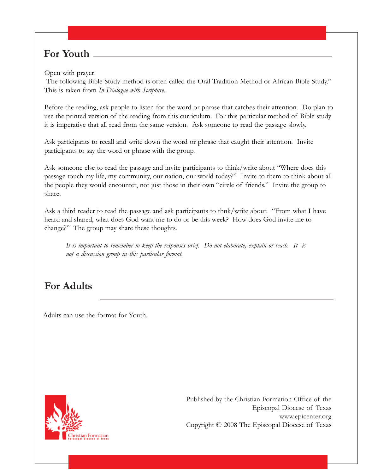#### **For Youth**

Open with prayer

 The following Bible Study method is often called the Oral Tradition Method or African Bible Study." This is taken from *In Dialogue with Scripture*.

Before the reading, ask people to listen for the word or phrase that catches their attention. Do plan to use the printed version of the reading from this curriculum. For this particular method of Bible study it is imperative that all read from the same version. Ask someone to read the passage slowly.

Ask participants to recall and write down the word or phrase that caught their attention. Invite participants to say the word or phrase with the group.

Ask someone else to read the passage and invite participants to think/write about "Where does this passage touch my life, my community, our nation, our world today?" Invite to them to think about all the people they would encounter, not just those in their own "circle of friends." Invite the group to share.

Ask a third reader to read the passage and ask participants to thnk/write about: "From what I have heard and shared, what does God want me to do or be this week? How does God invite me to change?" The group may share these thoughts.

*It is important to remember to keep the responses brief. Do not elaborate, explain or teach. It is not a discussion group in this particular format.*

# **For Adults**

Adults can use the format for Youth.

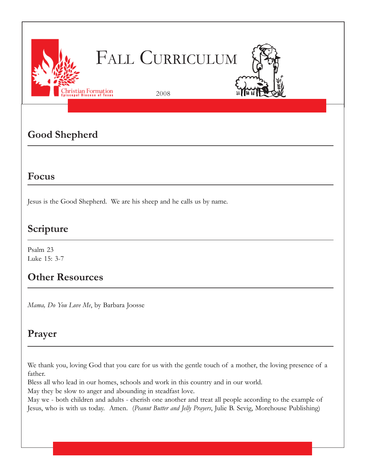

# **Good Shepherd**

#### **Focus**

Jesus is the Good Shepherd. We are his sheep and he calls us by name.

# **Scripture**

Psalm 23 Luke 15: 3-7

#### **Other Resources**

*Mama, Do You Love Me*, by Barbara Joosse

#### **Prayer**

We thank you, loving God that you care for us with the gentle touch of a mother, the loving presence of a father.

Bless all who lead in our homes, schools and work in this country and in our world.

May they be slow to anger and abounding in steadfast love.

May we - both children and adults - cherish one another and treat all people according to the example of Jesus, who is with us today. Amen. (*Peanut Butter and Jelly Prayers*, Julie B. Sevig, Morehouse Publishing)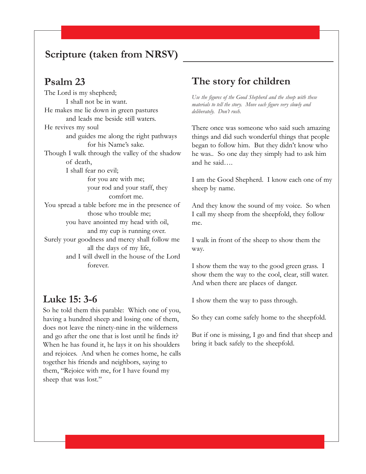#### **Scripture (taken from NRSV)**

#### **Psalm 23**

The Lord is my shepherd; I shall not be in want. He makes me lie down in green pastures and leads me beside still waters. He revives my soul and guides me along the right pathways for his Name's sake. Though I walk through the valley of the shadow of death, I shall fear no evil; for you are with me; your rod and your staff, they comfort me. You spread a table before me in the presence of those who trouble me; you have anointed my head with oil, and my cup is running over. Surely your goodness and mercy shall follow me all the days of my life, and I will dwell in the house of the Lord forever.

#### **Luke 15: 3-6**

So he told them this parable: Which one of you, having a hundred sheep and losing one of them, does not leave the ninety-nine in the wilderness and go after the one that is lost until he finds it? When he has found it, he lays it on his shoulders and rejoices. And when he comes home, he calls together his friends and neighbors, saying to them, "Rejoice with me, for I have found my sheep that was lost."

#### **The story for children**

*Use the figures of the Good Shepherd and the sheep with these materials to tell the story. Move each figure very slowly and deliberately. Don't rush.*

There once was someone who said such amazing things and did such wonderful things that people began to follow him. But they didn't know who he was.. So one day they simply had to ask him and he said….

I am the Good Shepherd. I know each one of my sheep by name.

And they know the sound of my voice. So when I call my sheep from the sheepfold, they follow me.

I walk in front of the sheep to show them the way.

I show them the way to the good green grass. I show them the way to the cool, clear, still water. And when there are places of danger.

I show them the way to pass through.

So they can come safely home to the sheepfold.

But if one is missing, I go and find that sheep and bring it back safely to the sheepfold.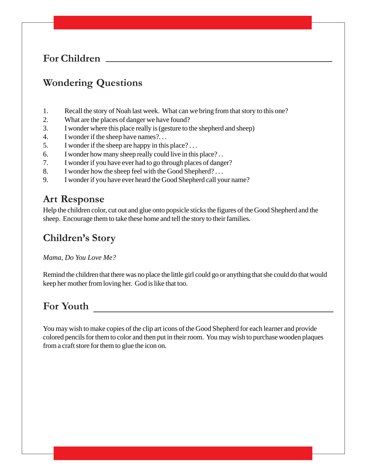#### **For Children**

# **Wondering Questions**

- 1. Recall the story of Noah last week. What can we bring from that story to this one?
- 2. What are the places of danger we have found?
- 3. I wonder where this place really is (gesture to the shepherd and sheep)
- 4. I wonder if the sheep have names?. . .
- 5. I wonder if the sheep are happy in this place? . . .
- 6. I wonder how many sheep really could live in this place? . .
- 7. I wonder if you have ever had to go through places of danger?
- 8. I wonder how the sheep feel with the Good Shepherd? . . .
- 9. I wonder if you have ever heard the Good Shepherd call your name?

#### **Art Response**

Help the children color, cut out and glue onto popsicle sticks the figures of the Good Shepherd and the sheep. Encourage them to take these home and tell the story to their families.

#### **Children's Story**

*Mama, Do You Love Me?*

Remind the children that there was no place the little girl could go or anything that she could do that would keep her mother from loving her. God is like that too.

#### **For Youth**

You may wish to make copies of the clip art icons of the Good Shepherd for each learner and provide colored pencils for them to color and then put in their room. You may wish to purchase wooden plaques from a craft store for them to glue the icon on.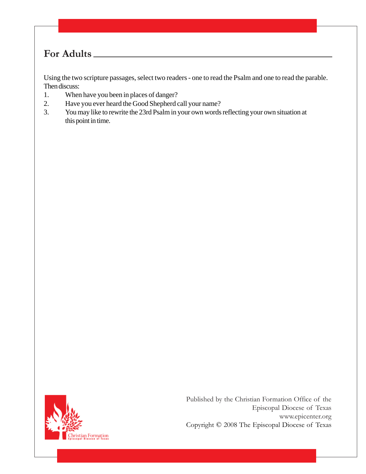#### **For Adults**

Using the two scripture passages, select two readers - one to read the Psalm and one to read the parable. Then discuss:

- 1. When have you been in places of danger?
- 2. Have you ever heard the Good Shepherd call your name?
- 3. You may like to rewrite the 23rd Psalm in your own words reflecting your own situation at this point in time.

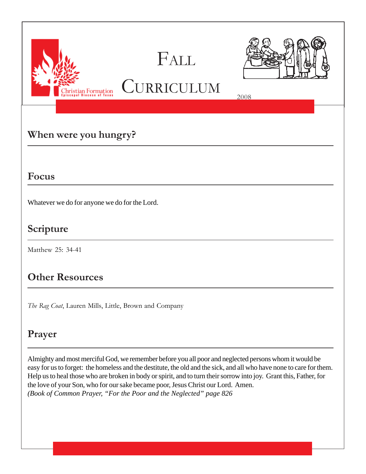

#### **When were you hungry?**

#### **Focus**

Whatever we do for anyone we do for the Lord.

# **Scripture**

Matthew 25: 34-41

#### **Other Resources**

*The Rag Coat*, Lauren Mills, Little, Brown and Company

#### **Prayer**

Almighty and most merciful God, we remember before you all poor and neglected persons whom it would be easy for us to forget: the homeless and the destitute, the old and the sick, and all who have none to care for them. Help us to heal those who are broken in body or spirit, and to turn their sorrow into joy. Grant this, Father, for the love of your Son, who for our sake became poor, Jesus Christ our Lord. Amen. *(Book of Common Prayer, "For the Poor and the Neglected" page 826*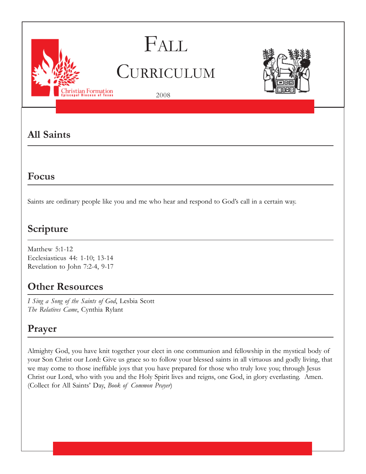

#### **All Saints**

#### **Focus**

Saints are ordinary people like you and me who hear and respond to God's call in a certain way.

# **Scripture**

Matthew 5:1-12 Ecclesiasticus 44: 1-10; 13-14 Revelation to John 7:2-4, 9-17

#### **Other Resources**

*I Sing a Song of the Saints of God*, Lesbia Scott *The Relatives Came*, Cynthia Rylant

#### **Prayer**

Almighty God, you have knit together your elect in one communion and fellowship in the mystical body of your Son Christ our Lord: Give us grace so to follow your blessed saints in all virtuous and godly living, that we may come to those ineffable joys that you have prepared for those who truly love you; through Jesus Christ our Lord, who with you and the Holy Spirit lives and reigns, one God, in glory everlasting. Amen. (Collect for All Saints' Day, *Book of Common Prayer*)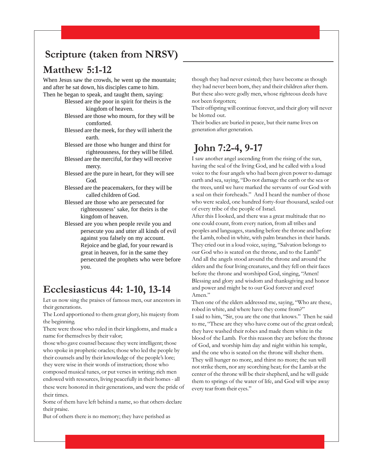#### **Scripture (taken from NRSV)**

#### **Matthew 5:1-12**

When Jesus saw the crowds, he went up the mountain; and after he sat down, his disciples came to him.

Then he began to speak, and taught them, saying:

- Blessed are the poor in spirit for theirs is the kingdom of heaven.
- Blessed are those who mourn, for they will be comforted.

Blessed are the meek, for they will inherit the earth.

Blessed are those who hunger and thirst for righteousness, for they will be filled.

- Blessed are the merciful, for they will receive mercy.
- Blessed are the pure in heart, for they will see God.

Blessed are the peacemakers, for they will be called children of God.

- Blessed are those who are persecuted for righteousness' sake, for theirs is the kingdom of heaven.
- Blessed are you when people revile you and persecute you and utter all kinds of evil against you falsely on my account. Rejoice and be glad, for your reward is great in heaven, for in the same they persecuted the prophets who were before you.

#### **Ecclesiasticus 44: 1-10, 13-14**

Let us now sing the praises of famous men, our ancestors in their generations.

The Lord apportioned to them great glory, his majesty from the beginning.

There were those who ruled in their kingdoms, and made a name for themselves by their valor;

those who gave counsel because they were intelligent; those who spoke in prophetic oracles; those who led the people by their counsels and by their knowledge of the people's lore; they were wise in their words of instruction; those who composed musical tunes, or put verses in writing; rich men endowed with resources, living peacefully in their homes - all

these were honored in their generations, and were the pride of their times.

Some of them have left behind a name, so that others declare their praise.

But of others there is no memory; they have perished as

though they had never existed; they have become as though they had never been born, they and their children after them. But these also were godly men, whose righteous deeds have not been forgotten;

Their offspring will continue forever, and their glory will never be blotted out.

Their bodies are buried in peace, but their name lives on generation after generation.

#### **John 7:2-4, 9-17**

I saw another angel ascending from the rising of the sun, having the seal of the living God, and he called with a loud voice to the four angels who had been given power to damage earth and sea, saying, "Do not damage the earth or the sea or the trees, until we have marked the servants of our God with a seal on their foreheads." And I heard the number of those who were sealed, one hundred forty-four thousand, sealed out of every tribe of the people of Israel.

After this I looked, and there was a great multitude that no one could count, from every nation, from all tribes and peoples and languages, standing before the throne and before the Lamb, robed in white, with palm branches in their hands. They cried out in a loud voice, saying, "Salvation belongs to our God who is seated on the throne, and to the Lamb!" And all the angels stood around the throne and around the elders and the four living creatures, and they fell on their faces before the throne and worshiped God, singing, "Amen! Blessing and glory and wisdom and thanksgiving and honor and power and might be to our God forever and ever! Amen."

Then one of the elders addressed me, saying, "Who are these, robed in white, and where have they come from?" I said to him, "Sir, you are the one that knows." Then he said to me, "These are they who have come out of the great ordeal; they have washed their robes and made them white in the blood of the Lamb. For this reason they are before the throne of God, and worship him day and night within his temple, and the one who is seated on the throne will shelter them. They will hunger no more, and thirst no more; the sun will not strike them, nor any scorching heat; for the Lamb at the center of the throne will be their shepherd, and he will guide them to springs of the water of life, and God will wipe away every tear from their eyes."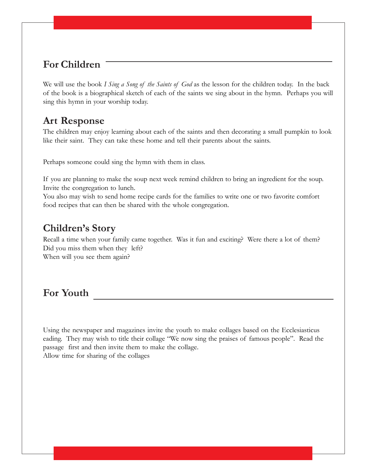#### **For Children**

We will use the book *I Sing a Song of the Saints of God* as the lesson for the children today. In the back of the book is a biographical sketch of each of the saints we sing about in the hymn. Perhaps you will sing this hymn in your worship today.

#### **Art Response**

The children may enjoy learning about each of the saints and then decorating a small pumpkin to look like their saint. They can take these home and tell their parents about the saints.

Perhaps someone could sing the hymn with them in class.

If you are planning to make the soup next week remind children to bring an ingredient for the soup. Invite the congregation to lunch.

You also may wish to send home recipe cards for the families to write one or two favorite comfort food recipes that can then be shared with the whole congregation.

#### **Children's Story**

Recall a time when your family came together. Was it fun and exciting? Were there a lot of them? Did you miss them when they left? When will you see them again?

#### **For Youth**

Using the newspaper and magazines invite the youth to make collages based on the Ecclesiasticus eading. They may wish to title their collage "We now sing the praises of famous people". Read the passage first and then invite them to make the collage. Allow time for sharing of the collages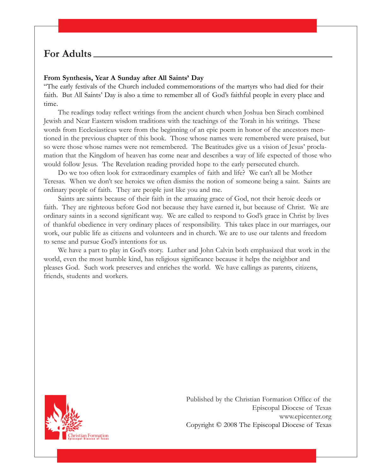#### **For Adults**

#### **From Synthesis, Year A Sunday after All Saints' Day**

"The early festivals of the Church included commemorations of the martyrs who had died for their faith. But All Saints' Day is also a time to remember all of God's faithful people in every place and time.

The readings today reflect writings from the ancient church when Joshua ben Sirach combined Jewish and Near Eastern wisdom traditions with the teachings of the Torah in his writings. These words from Ecclesiasticus were from the beginning of an epic poem in honor of the ancestors mentioned in the previous chapter of this book. Those whose names were remembered were praised, but so were those whose names were not remembered. The Beatitudes give us a vision of Jesus' proclamation that the Kingdom of heaven has come near and describes a way of life expected of those who would follow Jesus. The Revelation reading provided hope to the early persecuted church.

Do we too often look for extraordinary examples of faith and life? We can't all be Mother Teresas. When we don't see heroics we often dismiss the notion of someone being a saint. Saints are ordinary people of faith. They are people just like you and me.

Saints are saints because of their faith in the amazing grace of God, not their heroic deeds or faith. They are righteous before God not because they have earned it, but because of Christ. We are ordinary saints in a second significant way. We are called to respond to God's grace in Christ by lives of thankful obedience in very ordinary places of responsibility. This takes place in our marriages, our work, our public life as citizens and volunteers and in church. We are to use our talents and freedom to sense and pursue God's intentions for us.

We have a part to play in God's story. Luther and John Calvin both emphasized that work in the world, even the most humble kind, has religious significance because it helps the neighbor and pleases God. Such work preserves and enriches the world. We have callings as parents, citizens, friends, students and workers.

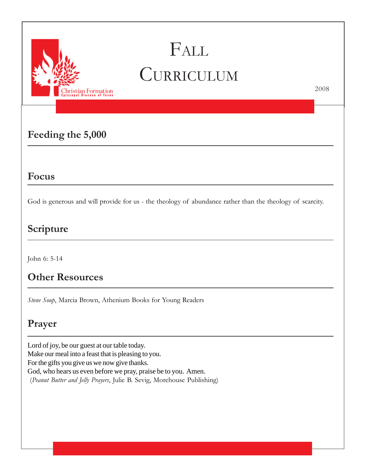

# FALL **CURRICULUM**

2008

# **Feeding the 5,000**

#### **Focus**

God is generous and will provide for us - the theology of abundance rather than the theology of scarcity.

# **Scripture**

John 6: 5-14

#### **Other Resources**

*Stone Soup*, Marcia Brown, Athenium Books for Young Readers

#### **Prayer**

Lord of joy, be our guest at our table today. Make our meal into a feast that is pleasing to you.

For the gifts you give us we now give thanks.

God, who hears us even before we pray, praise be to you. Amen.

(*Peanut Butter and Jelly Prayers*, Julie B. Sevig, Morehouse Publishing)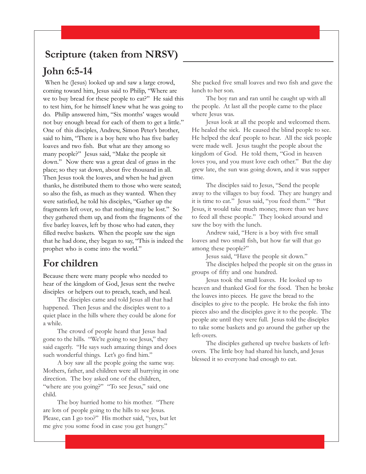#### **Scripture (taken from NRSV)**

#### **John 6:5-14**

When he (Jesus) looked up and saw a large crowd, coming toward him, Jesus said to Philip, "Where are we to buy bread for these people to eat?" He said this to test him, for he himself knew what he was going to do. Philip answered him, "Six months' wages would not buy enough bread for each of them to get a little." One of this disciples, Andrew, Simon Peter's brother, said to him, "There is a boy here who has five barley loaves and two fish. But what are they among so many people?" Jesus said, "Make the people sit down." Now there was a great deal of grass in the place; so they sat down, about five thousand in all. Then Jesus took the loaves, and when he had given thanks, he distributed them to those who were seated; so also the fish, as much as they wanted. When they were satisfied, he told his disciples, "Gather up the fragments left over, so that nothing may be lost." So they gathered them up, and from the fragments of the five barley loaves, left by those who had eaten, they filled twelve baskets. When the people saw the sign that he had done, they began to say, "This is indeed the prophet who is come into the world."

#### **For children**

Because there were many people who needed to hear of the kingdom of God, Jesus sent the twelve disciples or helpers out to preach, teach, and heal.

The disciples came and told Jesus all that had happened. Then Jesus and the disciples went to a quiet place in the hills where they could be alone for a while.

The crowd of people heard that Jesus had gone to the hills. "We're going to see Jesus," they said eagerly. "He says such amazing things and does such wonderful things. Let's go find him."

A boy saw all the people going the same way. Mothers, father, and children were all hurrying in one direction. The boy asked one of the children, "where are you going?" "To see Jesus," said one child.

The boy hurried home to his mother. "There are lots of people going to the hills to see Jesus. Please, can I go too?" His mother said, "yes, but let me give you some food in case you get hungry."

She packed five small loaves and two fish and gave the lunch to her son.

The boy ran and ran until he caught up with all the people. At last all the people came to the place where Jesus was.

Jesus look at all the people and welcomed them. He healed the sick. He caused the blind people to see. He helped the deaf people to hear. All the sick people were made well. Jesus taught the people about the kingdom of God. He told them, "God in heaven loves you, and you must love each other." But the day grew late, the sun was going down, and it was supper time.

The disciples said to Jesus, "Send the people away to the villages to buy food. They are hungry and it is time to eat." Jesus said, "you feed them." "But Jesus, it would take much money, more than we have to feed all these people." They looked around and saw the boy with the lunch.

Andrew said, "Here is a boy with five small loaves and two small fish, but how far will that go among these people?"

Jesus said, "Have the people sit down."

The disciples helped the people sit on the grass in groups of fifty and one hundred.

Jesus took the small loaves. He looked up to heaven and thanked God for the food. Then he broke the loaves into pieces. He gave the bread to the disciples to give to the people. He broke the fish into pieces also and the disciples gave it to the people. The people ate until they were full. Jesus told the disciples to take some baskets and go around the gather up the left-overs.

The disciples gathered up twelve baskets of leftovers. The little boy had shared his lunch, and Jesus blessed it so everyone had enough to eat.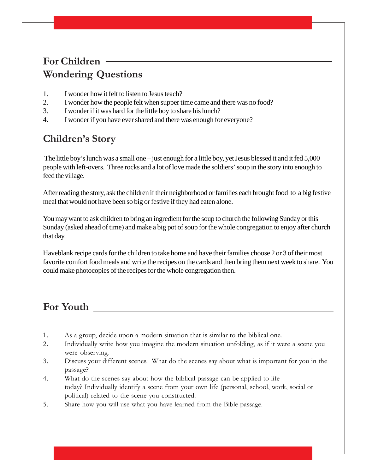# **For Children Wondering Questions**

- 1. I wonder how it felt to listen to Jesus teach?
- 2. I wonder how the people felt when supper time came and there was no food?
- 3. I wonder if it was hard for the little boy to share his lunch?
- 4. I wonder if you have ever shared and there was enough for everyone?

#### **Children's Story**

 The little boy's lunch was a small one – just enough for a little boy, yet Jesus blessed it and it fed 5,000 people with left-overs. Three rocks and a lot of love made the soldiers' soup in the story into enough to feed the village.

After reading the story, ask the children if their neighborhood or families each brought food to a big festive meal that would not have been so big or festive if they had eaten alone.

You may want to ask children to bring an ingredient for the soup to church the following Sunday or this Sunday (asked ahead of time) and make a big pot of soup for the whole congregation to enjoy after church that day.

Haveblank recipe cards for the children to take home and have their families choose 2 or 3 of their most favorite comfort food meals and write the recipes on the cards and then bring them next week to share. You could make photocopies of the recipes for the whole congregation then.

#### **For Youth**

- 1. As a group, decide upon a modern situation that is similar to the biblical one.
- 2. Individually write how you imagine the modern situation unfolding, as if it were a scene you were observing.
- 3. Discuss your different scenes. What do the scenes say about what is important for you in the passage?
- 4. What do the scenes say about how the biblical passage can be applied to life today? Individually identify a scene from your own life (personal, school, work, social or political) related to the scene you constructed.
- 5. Share how you will use what you have learned from the Bible passage.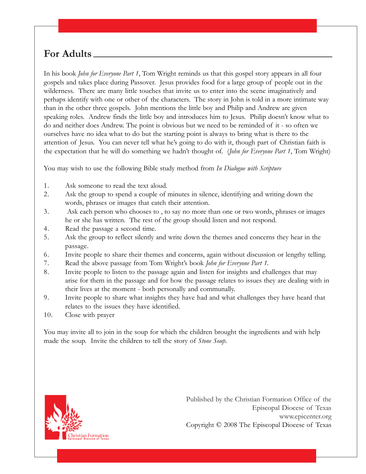#### **For Adults**

In his book *John for Everyone Part 1*, Tom Wright reminds us that this gospel story appears in all four gospels and takes place during Passover. Jesus provides food for a large group of people out in the wilderness. There are many little touches that invite us to enter into the scene imaginatively and perhaps identify with one or other of the characters. The story in John is told in a more intimate way than in the other three gospels. John mentions the little boy and Philip and Andrew are given speaking roles. Andrew finds the little boy and introduces him to Jesus. Philip doesn't know what to do and neither does Andrew. The point is obvious but we need to be reminded of it - so often we ourselves have no idea what to do but the starting point is always to bring what is there to the attention of Jesus. You can never tell what he's going to do with it, though part of Christian faith is the expectation that he will do something we hadn't thought of. (*John for Everyone Part 1*, Tom Wright)

You may wish to use the following Bible study method from *In Dialogue with Scripture*

- 1. Ask someone to read the text aloud.
- 2. Ask the group to spend a couple of minutes in silence, identifying and writing down the words, phrases or images that catch their attention.
- 3. Ask each person who chooses to , to say no more than one or two words, phrases or images he or she has written. The rest of the group should listen and not respond.
- 4. Read the passage a second time.
- 5. Ask the group to reflect silently and write down the themes aned concerns they hear in the passage.
- 6. Invite people to share their themes and concerns, again without discussion or lengthy telling.
- 7. Read the above passage from Tom Wright's book *John for Everyone Part 1.*
- 8. Invite people to listen to the passage again and listen for insights and challenges that may arise for them in the passage and for how the passage relates to issues they are dealing with in their lives at the moment - both personally and communally.
- 9. Invite people to share what insights they have had and what challenges they have heard that relates to the issues they have identified.
- 10. Close with prayer

You may invite all to join in the soup for which the children brought the ingredients and with help made the soup. Invite the children to tell the story of *Stone Soup*.

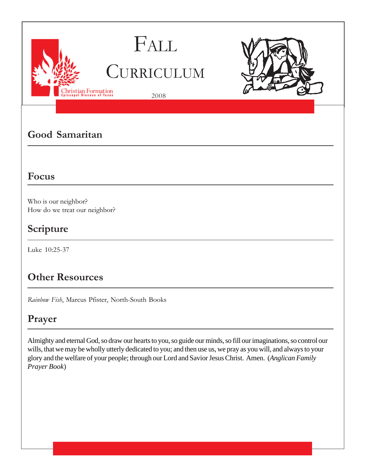

# FALL **CURRICULUM**



2008

# **Good Samaritan**

#### **Focus**

Who is our neighbor? How do we treat our neighbor?

# **Scripture**

Luke 10:25-37

# **Other Resources**

*Rainbow Fish*, Marcus Pfister, North-South Books

# **Prayer**

Almighty and eternal God, so draw our hearts to you, so guide our minds, so fill our imaginations, so control our wills, that we may be wholly utterly dedicated to you; and then use us, we pray as you will, and always to your glory and the welfare of your people; through our Lord and Savior Jesus Christ. Amen. (*Anglican Family Prayer Book*)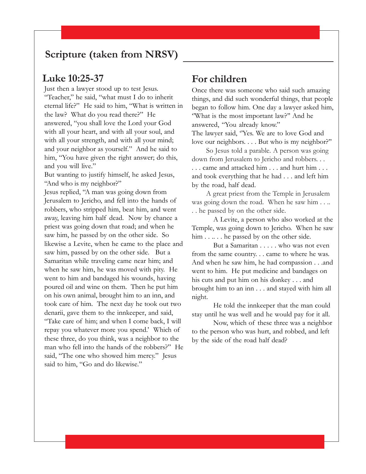#### **Scripture (taken from NRSV)**

#### **Luke 10:25-37 For children**

Just then a lawyer stood up to test Jesus. "Teacher," he said, "what must I do to inherit eternal life?" He said to him, "What is written in the law? What do you read there?" He answered, "you shall love the Lord your God with all your heart, and with all your soul, and with all your strength, and with all your mind; and your neighbor as yourself." And he said to him, "You have given the right answer; do this, and you will live."

But wanting to justify himself, he asked Jesus, "And who is my neighbor?"

Jesus replied, "A man was going down from Jerusalem to Jericho, and fell into the hands of robbers, who stripped him, beat him, and went away, leaving him half dead. Now by chance a priest was going down that road; and when he saw him, he passed by on the other side. So likewise a Levite, when he came to the place and saw him, passed by on the other side. But a Samaritan while traveling came near him; and when he saw him, he was moved with pity. He went to him and bandaged his wounds, having poured oil and wine on them. Then he put him on his own animal, brought him to an inn, and took care of him. The next day he took out two denarii, gave them to the innkeeper, and said, "Take care of him; and when I come back, I will repay you whatever more you spend.' Which of these three, do you think, was a neighbor to the man who fell into the hands of the robbers?" He said, "The one who showed him mercy." Jesus said to him, "Go and do likewise."

Once there was someone who said such amazing things, and did such wonderful things, that people began to follow him. One day a lawyer asked him, ''What is the most important law?'' And he answered, "You already know."

The lawyer said, "Yes. We are to love God and love our neighbors. . . . But who is my neighbor?"

So Jesus told a parable. A person was going down from Jerusalem to Jericho and robbers. . . . . . came and attacked him . . . and hurt him . . . and took everything that he had . . . and left him by the road, half dead.

A great priest from the Temple in Jerusalem was going down the road. When he saw him . . .. . . he passed by on the other side.

A Levite, a person who also worked at the Temple, was going down to Jericho. When he saw him . . . . . . he passed by on the other side.

But a Samaritan . . . . . who was not even from the same country. . . came to where he was. And when he saw him, he had compassion . . .and went to him. He put medicine and bandages on his cuts and put him on his donkey . . . and brought him to an inn . . . and stayed with him all night.

He told the innkeeper that the man could stay until he was well and he would pay for it all.

Now, which of these three was a neighbor to the person who was hurt, and robbed, and left by the side of the road half dead?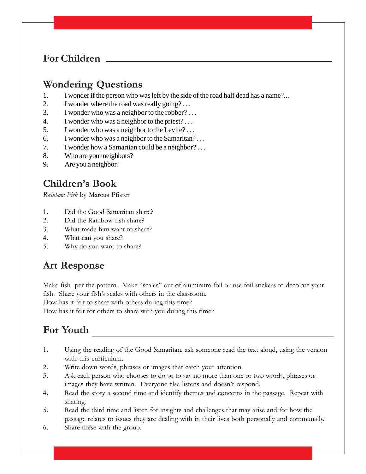#### **For Children**

#### **Wondering Questions**

- 1. I wonder if the person who was left by the side of the road half dead has a name?...
- 2. I wonder where the road was really going? . . .
- 3. I wonder who was a neighbor to the robber? . . .
- 4. I wonder who was a neighbor to the priest? . . .
- 5. I wonder who was a neighbor to the Levite? . . .
- 6. I wonder who was a neighbor to the Samaritan? . . .
- 7. I wonder how a Samaritan could be a neighbor? . . .
- 8. Who are your neighbors?
- 9. Are you a neighbor?

# **Children's Book**

*Rainbow Fish* by Marcus Pfister

- 1. Did the Good Samaritan share?
- 2. Did the Rainbow fish share?
- 3. What made him want to share?
- 4. What can you share?
- 5. Why do you want to share?

#### **Art Response**

Make fish per the pattern. Make "scales" out of aluminum foil or use foil stickers to decorate your fish. Share your fish's scales with others in the classroom.

How has it felt to share with others during this time?

How has it felt for others to share with you during this time?

# **For Youth**

- 1. Using the reading of the Good Samaritan, ask someone read the text aloud, using the version with this curriculum.
- 2. Write down words, phrases or images that catch your attention.
- 3. Ask each person who chooses to do so to say no more than one or two words, phrases or images they have written. Everyone else listens and doesn't respond.
- 4. Read the story a second time and identify themes and concerns in the passage. Repeat with sharing.
- 5. Read the third time and listen for insights and challenges that may arise and for how the passage relates to issues they are dealing with in their lives both personally and communally.
- 6. Share these with the group.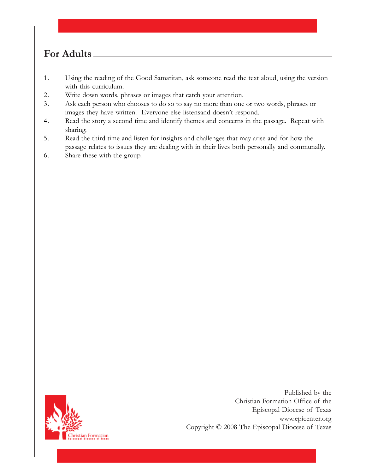#### **For Adults**

- 1. Using the reading of the Good Samaritan, ask someone read the text aloud, using the version with this curriculum.
- 2. Write down words, phrases or images that catch your attention.
- 3. Ask each person who chooses to do so to say no more than one or two words, phrases or images they have written. Everyone else listensand doesn't respond.
- 4. Read the story a second time and identify themes and concerns in the passage. Repeat with sharing.
- 5. Read the third time and listen for insights and challenges that may arise and for how the passage relates to issues they are dealing with in their lives both personally and communally.

6. Share these with the group.

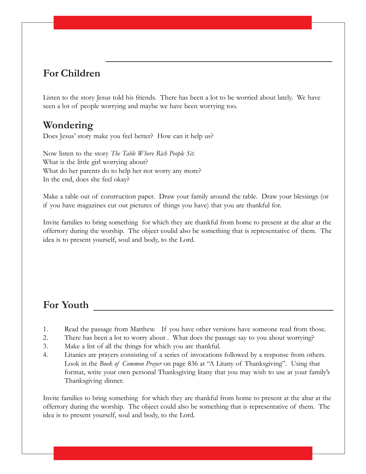#### **For Children**

Listen to the story Jesus told his friends. There has been a lot to be worried about lately. We have seen a lot of people worrying and maybe we have been worrying too.

#### **Wondering**

Does Jesus' story make you feel better? How can it help us?

Now listen to the story *The Table Where Rich People Sit*. What is the little girl worrying about? What do her parents do to help her not worry any more? In the end, does she feel okay?

Make a table out of construction paper. Draw your family around the table. Draw your blessings (or if you have magazines cut out pictures of things you have) that you are thankful for.

Invite families to bring something for which they are thankful from home to present at the altar at the offertory during the worship. The object coulid also be something that is representative of them. The idea is to present yourself, soul and body, to the Lord.

#### **For Youth**

- 1. Read the passage from Matthew. If you have other versions have someone read from those.
- 2. There has been a lot to worry about . What does the passage say to you about worrying?
- 3. Make a list of all the things for which you are thankful.
- 4. Litanies are prayers consisting of a series of invocations followed by a response from others. Look in the *Book of Common Prayer* on page 836 at "A Litany of Thanksgiving". Using that format, write your own personal Thanksgiving litany that you may wish to use at your family's Thanksgiving dinner.

Invite families to bring something for which they are thankful from home to present at the altar at the offertory during the worship. The object could also be something that is representative of them. The idea is to present yourself, soul and body, to the Lord.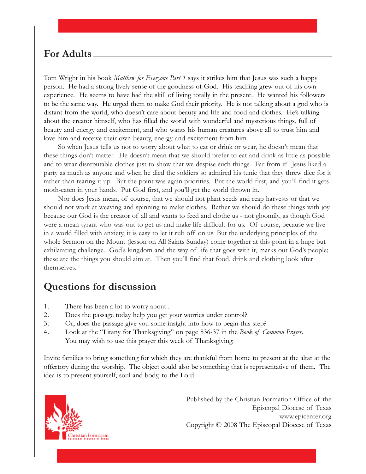#### **For Adults**

Tom Wright in his book *Matthew for Everyone Part 1* says it strikes him that Jesus was such a happy person. He had a strong lively sense of the goodness of God. His teaching grew out of his own experience. He seems to have had the skill of living totally in the present. He wanted his followers to be the same way. He urged them to make God their priority. He is not talking about a god who is distant from the world, who doesn't care about beauty and life and food and clothes. He's talking about the creator himself, who has filled the world with wonderful and mysterious things, full of beauty and energy and excitement, and who wants his human creatures above all to trust him and love him and receive their own beauty, energy and excitement from him.

So when Jesus tells us not to worry about what to eat or drink or wear, he doesn't mean that these things don't matter. He doesn't mean that we should prefer to eat and drink as little as possible and to wear disreputable clothes just to show that we despise such things. Far from it! Jesus liked a party as much as anyone and when he died the soldiers so admired his tunic that they threw dice for it rather than tearing it up. But the point was again priorities. Put the world first, and you'll find it gets moth-eaten in your hands. Put God first, and you'll get the world thrown in.

Nor does Jesus mean, of course, that we should not plant seeds and reap harvests or that we should not work at weaving and spinning to make clothes. Rather we should do these things with joy because our God is the creator of all and wants to feed and clothe us - not gloomily, as though God were a mean tyrant who was out to get us and make life difficult for us. Of course, because we live in a world filled with anxiety, it is easy to let it rub off on us. But the underlying principles of the whole Sermon on the Mount (lesson on All Saints Sunday) come together at this point in a huge but exhilarating challenge. God's kingdom and the way of life that goes with it, marks out God's people; these are the things you should aim at. Then you'll find that food, drink and clothing look after themselves.

#### **Questions for discussion**

- 1. There has been a lot to worry about .
- 2. Does the passage today help you get your worries under control?
- 3. Or, does the passage give you some insight into how to begin this step?
- 4. Look at the "Litany for Thanksgiving" on page 836-37 in the *Book of Common Prayer*. You may wish to use this prayer this week of Thanksgiving.

Invite families to bring something for which they are thankful from home to present at the altar at the offertory during the worship. The object could also be something that is representative of them. The idea is to present yourself, soul and body, to the Lord.

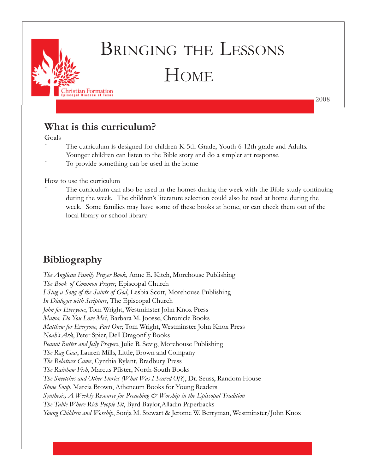

# BRINGING THE LESSONS **HOME**

2008

#### **What is this curriculum?**

Goals

- The curriculum is designed for children K-5th Grade, Youth 6-12th grade and Adults. Younger children can listen to the Bible story and do a simpler art response.
- To provide something can be used in the home

How to use the curriculum

The curriculum can also be used in the homes during the week with the Bible study continuing during the week. The children's literature selection could also be read at home during the week. Some families may have some of these books at home, or can check them out of the local library or school library.

# **Bibliography**

*The Anglican Family Prayer Book*, Anne E. Kitch, Morehouse Publishing *The Book of Common Prayer*, Episcopal Church *I Sing a Song of the Saints of God*, Lesbia Scott, Morehouse Publishing *In Dialogue with Scripture*, The Episcopal Church *John for Everyone*, Tom Wright, Westminster John Knox Press *Mama, Do You Love Me?*, Barbara M. Joosse, Chronicle Books *Matthew for Everyone, Part One*; Tom Wright, Westminster John Knox Press *Noah's Ark*, Peter Spier, Dell Dragonfly Books *Peanut Butter and Jelly Prayers*, Julie B. Sevig, Morehouse Publishing *The Rag Coat*, Lauren Mills, Little, Brown and Company *The Relatives Came*, Cynthia Rylant, Bradbury Press *The Rainbow Fish*, Marcus Pfister, North-South Books *The Sneetches and Other Stories (What Was I Scared Of?*), Dr. Seuss, Random House *Stone Soup*, Marcia Brown, Atheneum Books for Young Readers *Synthesis, A Weekly Resource for Preaching & Worship in the Episcopal Tradition The Table Where Rich People Sit*, Byrd Baylor,Alladin Paperbacks *Young Children and Worship*, Sonja M. Stewart & Jerome W. Berryman, Westminster/John Knox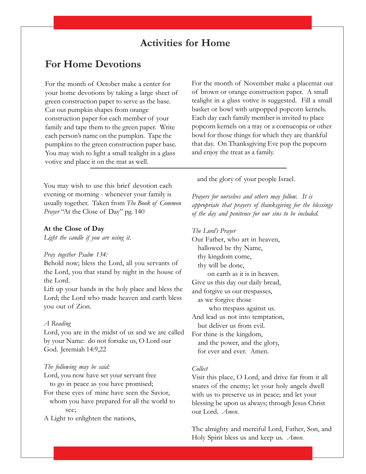#### **Activities for Home**

#### **For Home Devotions**

For the month of October make a center for your home devotions by taking a large sheet of green construction paper to serve as the base. Cut out pumpkin shapes from orange construction paper for each member of your family and tape them to the green paper. Write each person's name on the pumpkin. Tape the pumpkins to the green construction paper base. You may wish to light a small tealight in a glass votive and place it on the mat as well.

You may wish to use this brief devotion each evening or morning - whenever your family is usually together. Taken from *The Book of Common Prayer* "At the Close of Day" pg. 140

#### **At the Close of Day**

*Light the candle if you are using it.*

#### *Pray together Psalm 134:*

Behold now; bless the Lord, all you servants of the Lord, you that stand by night in the house of the Lord.

Lift up your hands in the holy place and bless the Lord; the Lord who made heaven and earth bless you out of Zion.

#### *A Reading*

Lord, you are in the midst of us and we are called by your Name: do not forsake us, O Lord our God. Jeremiah 14:9,22

#### *The following may be said:*

Lord, you now have set your servant free to go in peace as you have promised;

- For these eyes of mine have seen the Savior, whom you have prepared for all the world to see;
- A Light to enlighten the nations,

For the month of November make a placemat out of brown or orange construction paper. A small tealight in a glass votive is suggested. Fill a small basket or bowl with unpopped popcorn kernels. Each day each family member is invited to place popcorn kernels on a tray or a cornucopia or other bowl for those things for which they are thankful that day. On Thanksgiving Eve pop the popcorn and enjoy the treat as a family.

and the glory of your people Israel.

*Prayers for ourselves and others may follow. It is appropriate that prayers of thanksgiving for the blessings of the day and penitence for our sins to be included.*

*The Lord's Prayer* Our Father, who art in heaven, hallowed be thy Name, thy kingdom come, thy will be done, on earth as it is in heaven. Give us this day our daily bread, and forgive us our trespasses, as we forgive those who trespass against us. And lead us not into temptation, but deliver us from evil. For thine is the kingdom, and the power, and the glory, for ever and ever. Amen.

#### *Collect*

Visit this place, O Lord, and drive far from it all snares of the enemy; let your holy angels dwell with us to preserve us in peace; and let your blessing be upon us always; through Jesus Christ our Lord. *Amen*.

The almighty and merciful Lord, Father, Son, and Holy Spirit bless us and keep us. *Amen.*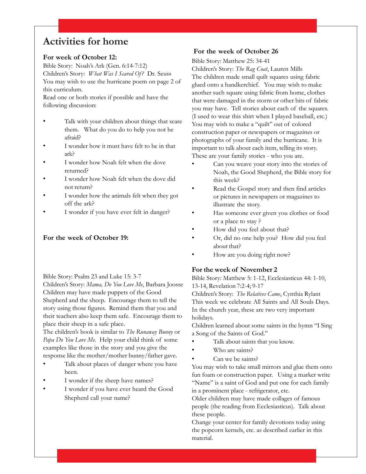#### **Activities for home**

#### **For week of October 12:**

Bible Story: Noah's Ark (Gen. 6:14-7:12) Children's Story: *What Was I Scared Of?* Dr. Seuss You may wish to use the hurricane poem on page 2 of this curriculum.

Read one or both stories if possible and have the following discussion:

- Talk with your children about things that scare them. What do you do to help you not be afraid?
- I wonder how it must have felt to be in that ark?
- I wonder how Noah felt when the dove returned?
- I wonder how Noah felt when the dove did not return?
- I wonder how the animals felt when they got off the ark?
- I wonder if you have ever felt in danger?

#### **For the week of October 19:**

Bible Story: Psalm 23 and Luke 15: 3-7

Children's Story: *Mama, Do You Love Me*, Barbara Joosse Children may have made puppets of the Good Shepherd and the sheep. Encourage them to tell the story using those figures. Remind them that you and their teachers also keep them safe. Encourage them to place their sheep in a safe place.

The children's book is similar to *The Runaway Bunny* or *Papa Do You Love Me*. Help your child think of some examples like those in the story and you give the response like the mother/mother bunny/father gave.

- Talk about places of danger where you have been.
- I wonder if the sheep have names?
- I wonder if you have ever heard the Good Shepherd call your name?

#### **For the week of October 26**

Bible Story: Matthew 25: 34-41

Children's Story: *The Rag Coat*, Lauren Mills The children made small quilt squares using fabric glued onto a handkerchief. You may wish to make another such square using fabric from home, clothes that were damaged in the storm or other bits of fabric you may have. Tell stories about each of the squares. (I used to wear this shirt when I played baseball, etc.) You may wish to make a "quilt" out of colored construction paper or newspapers or magazines or photographs of your family and the hurricane. It is important to talk about each item, telling its story. These are your family stories - who you are.

- Can you weave your story into the stories of Noah, the Good Shepherd, the Bible story for this week?
- Read the Gospel story and then find articles or pictures in newspapers or magazines to illustrate the story.
- Has someone ever given you clothes or food or a place to stay ?
- How did you feel about that?
- Or, did no one help you? How did you feel about that?
- How are you doing right now?

#### **For the week of November 2**

Bible Story: Matthew 5: 1-12, Ecclesiasticus 44: 1-10, 13-14, Revelation 7:2-4; 9-17

Children's Story: *The Relatives Came*, Cynthia Rylant This week we celebrate All Saints and All Souls Days. In the church year, these are two very important holidays.

Children learned about some saints in the hymn "I Sing a Song of the Saints of God."

- Talk about saints that you know.
- Who are saints?
- Can we be saints?

You may wish to take small mirrors and glue them onto fun foam or construction paper. Using a marker write "Name" is a saint of God and put one for each family in a prominent place - refrigerator, etc.

Older children may have made collages of famous people (the reading from Ecclesiasticus). Talk about these people.

Change your center for family devotions today using the popcorn kernels, etc. as described earlier in this material.